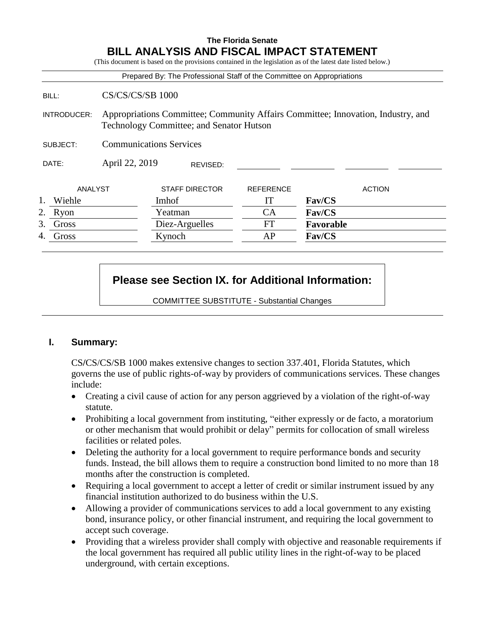# **The Florida Senate BILL ANALYSIS AND FISCAL IMPACT STATEMENT**

(This document is based on the provisions contained in the legislation as of the latest date listed below.)

|                    |                                                                                                                              |                       |          |                  | Prepared By: The Professional Staff of the Committee on Appropriations |
|--------------------|------------------------------------------------------------------------------------------------------------------------------|-----------------------|----------|------------------|------------------------------------------------------------------------|
| BILL:              | CS/CS/CS/SB 1000                                                                                                             |                       |          |                  |                                                                        |
| <b>INTRODUCER:</b> | Appropriations Committee; Community Affairs Committee; Innovation, Industry, and<br>Technology Committee; and Senator Hutson |                       |          |                  |                                                                        |
| SUBJECT:           | <b>Communications Services</b>                                                                                               |                       |          |                  |                                                                        |
| DATE:              | April 22, 2019                                                                                                               |                       | REVISED: |                  |                                                                        |
| ANALYST            |                                                                                                                              | <b>STAFF DIRECTOR</b> |          | <b>REFERENCE</b> | <b>ACTION</b>                                                          |
| 1.<br>Wiehle       |                                                                                                                              | Imhof                 |          | IT               | Fav/CS                                                                 |
| 2. Ryon            |                                                                                                                              | Yeatman               |          | <b>CA</b>        | Fav/CS                                                                 |
| 3.<br>Gross        |                                                                                                                              | Diez-Arguelles        |          | FT               | Favorable                                                              |
| Gross<br>4.        |                                                                                                                              | Kynoch                |          | AP               | Fav/CS                                                                 |

# **Please see Section IX. for Additional Information:**

COMMITTEE SUBSTITUTE - Substantial Changes

## **I. Summary:**

CS**/**CS/CS/SB 1000 makes extensive changes to section 337.401, Florida Statutes, which governs the use of public rights-of-way by providers of communications services. These changes include:

- Creating a civil cause of action for any person aggrieved by a violation of the right-of-way statute.
- Prohibiting a local government from instituting, "either expressly or de facto, a moratorium or other mechanism that would prohibit or delay" permits for collocation of small wireless facilities or related poles.
- Deleting the authority for a local government to require performance bonds and security funds. Instead, the bill allows them to require a construction bond limited to no more than 18 months after the construction is completed.
- Requiring a local government to accept a letter of credit or similar instrument issued by any financial institution authorized to do business within the U.S.
- Allowing a provider of communications services to add a local government to any existing bond, insurance policy, or other financial instrument, and requiring the local government to accept such coverage.
- Providing that a wireless provider shall comply with objective and reasonable requirements if the local government has required all public utility lines in the right-of-way to be placed underground, with certain exceptions.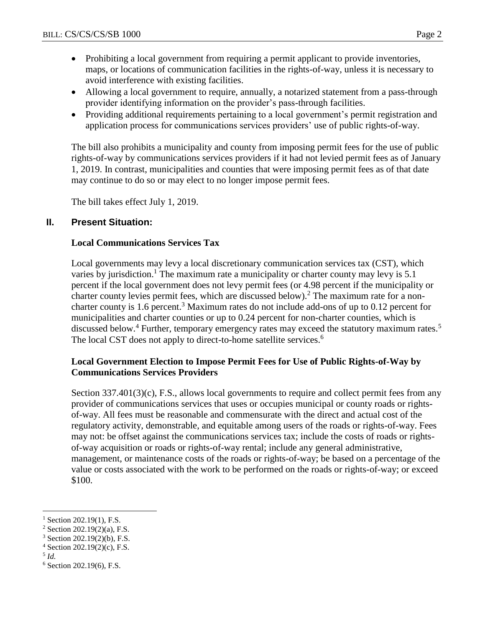- Prohibiting a local government from requiring a permit applicant to provide inventories, maps, or locations of communication facilities in the rights-of-way, unless it is necessary to
- avoid interference with existing facilities.
- Allowing a local government to require, annually, a notarized statement from a pass-through provider identifying information on the provider's pass-through facilities.
- Providing additional requirements pertaining to a local government's permit registration and application process for communications services providers' use of public rights-of-way.

The bill also prohibits a municipality and county from imposing permit fees for the use of public rights-of-way by communications services providers if it had not levied permit fees as of January 1, 2019. In contrast, municipalities and counties that were imposing permit fees as of that date may continue to do so or may elect to no longer impose permit fees.

The bill takes effect July 1, 2019.

# **II. Present Situation:**

# **Local Communications Services Tax**

Local governments may levy a local discretionary communication services tax (CST), which varies by jurisdiction.<sup>1</sup> The maximum rate a municipality or charter county may levy is 5.1 percent if the local government does not levy permit fees (or 4.98 percent if the municipality or charter county levies permit fees, which are discussed below).<sup>2</sup> The maximum rate for a noncharter county is 1.6 percent.<sup>3</sup> Maximum rates do not include add-ons of up to 0.12 percent for municipalities and charter counties or up to 0.24 percent for non-charter counties, which is discussed below.<sup>4</sup> Further, temporary emergency rates may exceed the statutory maximum rates.<sup>5</sup> The local CST does not apply to direct-to-home satellite services.<sup>6</sup>

# **Local Government Election to Impose Permit Fees for Use of Public Rights-of-Way by Communications Services Providers**

Section 337.401(3)(c), F.S., allows local governments to require and collect permit fees from any provider of communications services that uses or occupies municipal or county roads or rightsof-way. All fees must be reasonable and commensurate with the direct and actual cost of the regulatory activity, demonstrable, and equitable among users of the roads or rights-of-way. Fees may not: be offset against the communications services tax; include the costs of roads or rightsof-way acquisition or roads or rights-of-way rental; include any general administrative, management, or maintenance costs of the roads or rights-of-way; be based on a percentage of the value or costs associated with the work to be performed on the roads or rights-of-way; or exceed \$100.

5 *Id.*

 $\overline{a}$ 

 $^{1}$  Section 202.19(1), F.S.

 $2$  Section 202.19(2)(a), F.S.

<sup>3</sup> Section 202.19(2)(b), F.S.

 $4$  Section 202.19(2)(c), F.S.

<sup>6</sup> Section 202.19(6), F.S.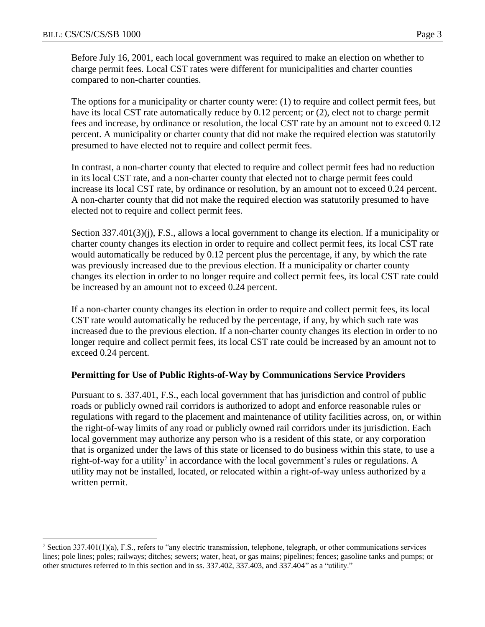$\overline{a}$ 

Before July 16, 2001, each local government was required to make an election on whether to charge permit fees. Local CST rates were different for municipalities and charter counties compared to non-charter counties.

The options for a municipality or charter county were: (1) to require and collect permit fees, but have its local CST rate automatically reduce by 0.12 percent; or (2), elect not to charge permit fees and increase, by ordinance or resolution, the local CST rate by an amount not to exceed 0.12 percent. A municipality or charter county that did not make the required election was statutorily presumed to have elected not to require and collect permit fees.

In contrast, a non-charter county that elected to require and collect permit fees had no reduction in its local CST rate, and a non-charter county that elected not to charge permit fees could increase its local CST rate, by ordinance or resolution, by an amount not to exceed 0.24 percent. A non-charter county that did not make the required election was statutorily presumed to have elected not to require and collect permit fees.

Section 337.401(3)(j), F.S., allows a local government to change its election. If a municipality or charter county changes its election in order to require and collect permit fees, its local CST rate would automatically be reduced by 0.12 percent plus the percentage, if any, by which the rate was previously increased due to the previous election. If a municipality or charter county changes its election in order to no longer require and collect permit fees, its local CST rate could be increased by an amount not to exceed 0.24 percent.

If a non-charter county changes its election in order to require and collect permit fees, its local CST rate would automatically be reduced by the percentage, if any, by which such rate was increased due to the previous election. If a non-charter county changes its election in order to no longer require and collect permit fees, its local CST rate could be increased by an amount not to exceed 0.24 percent.

### **Permitting for Use of Public Rights-of-Way by Communications Service Providers**

Pursuant to s. 337.401, F.S., each local government that has jurisdiction and control of public roads or publicly owned rail corridors is authorized to adopt and enforce reasonable rules or regulations with regard to the placement and maintenance of utility facilities across, on, or within the right-of-way limits of any road or publicly owned rail corridors under its jurisdiction. Each local government may authorize any person who is a resident of this state, or any corporation that is organized under the laws of this state or licensed to do business within this state, to use a right-of-way for a utility<sup>7</sup> in accordance with the local government's rules or regulations. A utility may not be installed, located, or relocated within a right-of-way unless authorized by a written permit.

<sup>&</sup>lt;sup>7</sup> Section 337.401(1)(a), F.S., refers to "any electric transmission, telephone, telegraph, or other communications services lines; pole lines; poles; railways; ditches; sewers; water, heat, or gas mains; pipelines; fences; gasoline tanks and pumps; or other structures referred to in this section and in ss. 337.402, 337.403, and 337.404" as a "utility."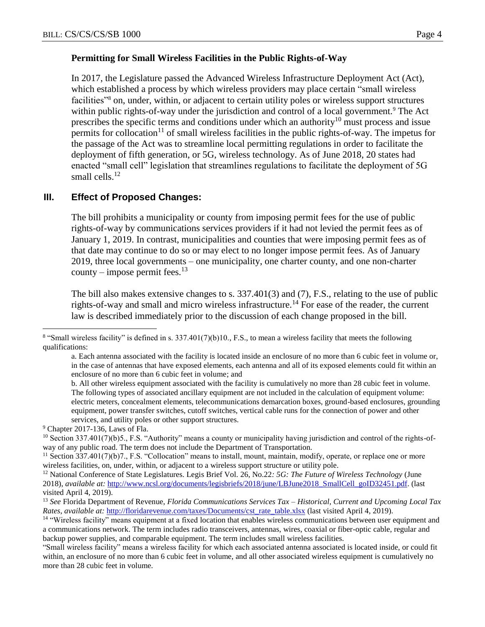#### **Permitting for Small Wireless Facilities in the Public Rights-of-Way**

In 2017, the Legislature passed the Advanced Wireless Infrastructure Deployment Act (Act), which established a process by which wireless providers may place certain "small wireless facilities"<sup>8</sup> on, under, within, or adjacent to certain utility poles or wireless support structures within public rights-of-way under the jurisdiction and control of a local government.<sup>9</sup> The Act prescribes the specific terms and conditions under which an authority<sup>10</sup> must process and issue permits for collocation<sup>11</sup> of small wireless facilities in the public rights-of-way. The impetus for the passage of the Act was to streamline local permitting regulations in order to facilitate the deployment of fifth generation, or 5G, wireless technology. As of June 2018, 20 states had enacted "small cell" legislation that streamlines regulations to facilitate the deployment of 5G small cells.<sup>12</sup>

### **III. Effect of Proposed Changes:**

The bill prohibits a municipality or county from imposing permit fees for the use of public rights-of-way by communications services providers if it had not levied the permit fees as of January 1, 2019. In contrast, municipalities and counties that were imposing permit fees as of that date may continue to do so or may elect to no longer impose permit fees. As of January 2019, three local governments – one municipality, one charter county, and one non-charter county – impose permit fees.<sup>13</sup>

The bill also makes extensive changes to s. 337.401(3) and (7), F.S., relating to the use of public rights-of-way and small and micro wireless infrastructure.<sup>14</sup> For ease of the reader, the current law is described immediately prior to the discussion of each change proposed in the bill.

 $\overline{a}$ 

 $8$  "Small wireless facility" is defined in s. 337.401(7)(b)10., F.S., to mean a wireless facility that meets the following qualifications:

a. Each antenna associated with the facility is located inside an enclosure of no more than 6 cubic feet in volume or, in the case of antennas that have exposed elements, each antenna and all of its exposed elements could fit within an enclosure of no more than 6 cubic feet in volume; and

b. All other wireless equipment associated with the facility is cumulatively no more than 28 cubic feet in volume. The following types of associated ancillary equipment are not included in the calculation of equipment volume: electric meters, concealment elements, telecommunications demarcation boxes, ground-based enclosures, grounding equipment, power transfer switches, cutoff switches, vertical cable runs for the connection of power and other services, and utility poles or other support structures.

<sup>9</sup> Chapter 2017-136, Laws of Fla.

 $10$  Section 337.401(7)(b)5., F.S. "Authority" means a county or municipality having jurisdiction and control of the rights-ofway of any public road. The term does not include the Department of Transportation.

<sup>&</sup>lt;sup>11</sup> Section 337.401(7)(b)7., F.S. "Collocation" means to install, mount, maintain, modify, operate, or replace one or more wireless facilities, on, under, within, or adjacent to a wireless support structure or utility pole.

<sup>12</sup> National Conference of State Legislatures. Legis Brief Vol. 26, No.22*: 5G: The Future of Wireless Technology* (June 2018), *available at:* [http://www.ncsl.org/documents/legisbriefs/2018/june/LBJune2018\\_SmallCell\\_goID32451.pdf.](http://www.ncsl.org/documents/legisbriefs/2018/june/LBJune2018_SmallCell_goID32451.pdf) (last visited April 4, 2019).

<sup>13</sup> *See* Florida Department of Revenue, *Florida Communications Services Tax – Historical, Current and Upcoming Local Tax Rates*, *available at:* [http://floridarevenue.com/taxes/Documents/cst\\_rate\\_table.xlsx](http://floridarevenue.com/taxes/Documents/cst_rate_table.xlsx) (last visited April 4, 2019).

<sup>&</sup>lt;sup>14</sup> "Wireless facility" means equipment at a fixed location that enables wireless communications between user equipment and a communications network. The term includes radio transceivers, antennas, wires, coaxial or fiber-optic cable, regular and backup power supplies, and comparable equipment. The term includes small wireless facilities.

<sup>&</sup>quot;Small wireless facility" means a wireless facility for which each associated antenna associated is located inside, or could fit within, an enclosure of no more than 6 cubic feet in volume, and all other associated wireless equipment is cumulatively no more than 28 cubic feet in volume.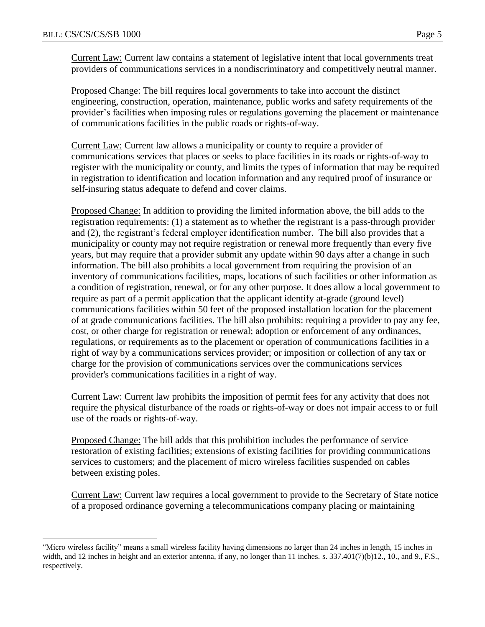$\overline{a}$ 

Current Law: Current law contains a statement of legislative intent that local governments treat providers of communications services in a nondiscriminatory and competitively neutral manner.

Proposed Change: The bill requires local governments to take into account the distinct engineering, construction, operation, maintenance, public works and safety requirements of the provider's facilities when imposing rules or regulations governing the placement or maintenance of communications facilities in the public roads or rights-of-way.

Current Law: Current law allows a municipality or county to require a provider of communications services that places or seeks to place facilities in its roads or rights-of-way to register with the municipality or county, and limits the types of information that may be required in registration to identification and location information and any required proof of insurance or self-insuring status adequate to defend and cover claims.

Proposed Change: In addition to providing the limited information above, the bill adds to the registration requirements: (1) a statement as to whether the registrant is a pass-through provider and (2), the registrant's federal employer identification number. The bill also provides that a municipality or county may not require registration or renewal more frequently than every five years, but may require that a provider submit any update within 90 days after a change in such information. The bill also prohibits a local government from requiring the provision of an inventory of communications facilities, maps, locations of such facilities or other information as a condition of registration, renewal, or for any other purpose. It does allow a local government to require as part of a permit application that the applicant identify at-grade (ground level) communications facilities within 50 feet of the proposed installation location for the placement of at grade communications facilities. The bill also prohibits: requiring a provider to pay any fee, cost, or other charge for registration or renewal; adoption or enforcement of any ordinances, regulations, or requirements as to the placement or operation of communications facilities in a right of way by a communications services provider; or imposition or collection of any tax or charge for the provision of communications services over the communications services provider's communications facilities in a right of way.

Current Law: Current law prohibits the imposition of permit fees for any activity that does not require the physical disturbance of the roads or rights-of-way or does not impair access to or full use of the roads or rights-of-way.

Proposed Change: The bill adds that this prohibition includes the performance of service restoration of existing facilities; extensions of existing facilities for providing communications services to customers; and the placement of micro wireless facilities suspended on cables between existing poles.

Current Law: Current law requires a local government to provide to the Secretary of State notice of a proposed ordinance governing a telecommunications company placing or maintaining

<sup>&</sup>quot;Micro wireless facility" means a small wireless facility having dimensions no larger than 24 inches in length, 15 inches in width, and 12 inches in height and an exterior antenna, if any, no longer than 11 inches. s. 337.401(7)(b)12., 10., and 9., F.S., respectively.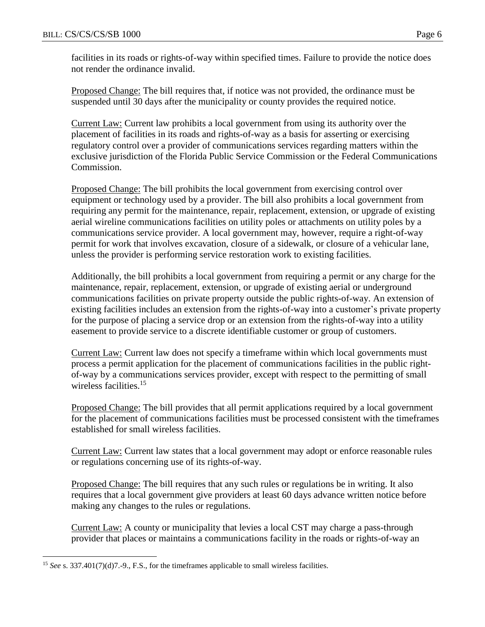facilities in its roads or rights-of-way within specified times. Failure to provide the notice does not render the ordinance invalid.

Proposed Change: The bill requires that, if notice was not provided, the ordinance must be suspended until 30 days after the municipality or county provides the required notice.

Current Law: Current law prohibits a local government from using its authority over the placement of facilities in its roads and rights-of-way as a basis for asserting or exercising regulatory control over a provider of communications services regarding matters within the exclusive jurisdiction of the Florida Public Service Commission or the Federal Communications Commission.

Proposed Change: The bill prohibits the local government from exercising control over equipment or technology used by a provider. The bill also prohibits a local government from requiring any permit for the maintenance, repair, replacement, extension, or upgrade of existing aerial wireline communications facilities on utility poles or attachments on utility poles by a communications service provider. A local government may, however, require a right-of-way permit for work that involves excavation, closure of a sidewalk, or closure of a vehicular lane, unless the provider is performing service restoration work to existing facilities.

Additionally, the bill prohibits a local government from requiring a permit or any charge for the maintenance, repair, replacement, extension, or upgrade of existing aerial or underground communications facilities on private property outside the public rights-of-way. An extension of existing facilities includes an extension from the rights-of-way into a customer's private property for the purpose of placing a service drop or an extension from the rights-of-way into a utility easement to provide service to a discrete identifiable customer or group of customers.

Current Law: Current law does not specify a timeframe within which local governments must process a permit application for the placement of communications facilities in the public rightof-way by a communications services provider, except with respect to the permitting of small wireless facilities.<sup>15</sup>

Proposed Change: The bill provides that all permit applications required by a local government for the placement of communications facilities must be processed consistent with the timeframes established for small wireless facilities.

Current Law: Current law states that a local government may adopt or enforce reasonable rules or regulations concerning use of its rights-of-way.

Proposed Change: The bill requires that any such rules or regulations be in writing. It also requires that a local government give providers at least 60 days advance written notice before making any changes to the rules or regulations.

Current Law: A county or municipality that levies a local CST may charge a pass-through provider that places or maintains a communications facility in the roads or rights-of-way an

 $\overline{a}$ <sup>15</sup> *See* s. 337.401(7)(d)7.-9., F.S., for the timeframes applicable to small wireless facilities.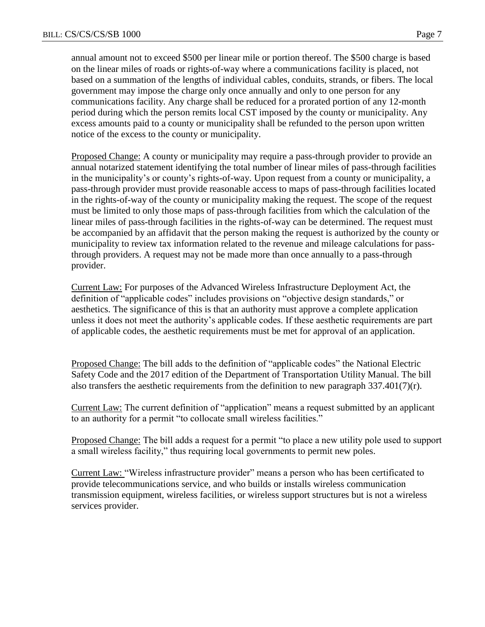annual amount not to exceed \$500 per linear mile or portion thereof. The \$500 charge is based on the linear miles of roads or rights-of-way where a communications facility is placed, not based on a summation of the lengths of individual cables, conduits, strands, or fibers. The local government may impose the charge only once annually and only to one person for any communications facility. Any charge shall be reduced for a prorated portion of any 12-month period during which the person remits local CST imposed by the county or municipality. Any excess amounts paid to a county or municipality shall be refunded to the person upon written notice of the excess to the county or municipality.

Proposed Change: A county or municipality may require a pass-through provider to provide an annual notarized statement identifying the total number of linear miles of pass-through facilities in the municipality's or county's rights-of-way. Upon request from a county or municipality, a pass-through provider must provide reasonable access to maps of pass-through facilities located in the rights-of-way of the county or municipality making the request. The scope of the request must be limited to only those maps of pass-through facilities from which the calculation of the linear miles of pass-through facilities in the rights-of-way can be determined. The request must be accompanied by an affidavit that the person making the request is authorized by the county or municipality to review tax information related to the revenue and mileage calculations for passthrough providers. A request may not be made more than once annually to a pass-through provider.

Current Law: For purposes of the Advanced Wireless Infrastructure Deployment Act, the definition of "applicable codes" includes provisions on "objective design standards," or aesthetics. The significance of this is that an authority must approve a complete application unless it does not meet the authority's applicable codes. If these aesthetic requirements are part of applicable codes, the aesthetic requirements must be met for approval of an application.

Proposed Change: The bill adds to the definition of "applicable codes" the National Electric Safety Code and the 2017 edition of the Department of Transportation Utility Manual. The bill also transfers the aesthetic requirements from the definition to new paragraph  $337.401(7)(r)$ .

Current Law: The current definition of "application" means a request submitted by an applicant to an authority for a permit "to collocate small wireless facilities."

Proposed Change: The bill adds a request for a permit "to place a new utility pole used to support a small wireless facility," thus requiring local governments to permit new poles.

Current Law: "Wireless infrastructure provider" means a person who has been certificated to provide telecommunications service, and who builds or installs wireless communication transmission equipment, wireless facilities, or wireless support structures but is not a wireless services provider.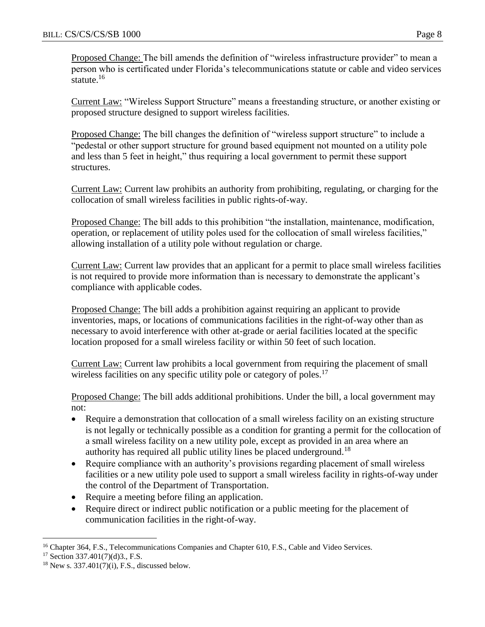Proposed Change: The bill amends the definition of "wireless infrastructure provider" to mean a person who is certificated under Florida's telecommunications statute or cable and video services statute. $16$ 

Current Law: "Wireless Support Structure" means a freestanding structure, or another existing or proposed structure designed to support wireless facilities.

Proposed Change: The bill changes the definition of "wireless support structure" to include a "pedestal or other support structure for ground based equipment not mounted on a utility pole and less than 5 feet in height," thus requiring a local government to permit these support structures.

Current Law: Current law prohibits an authority from prohibiting, regulating, or charging for the collocation of small wireless facilities in public rights-of-way.

Proposed Change: The bill adds to this prohibition "the installation, maintenance, modification, operation, or replacement of utility poles used for the collocation of small wireless facilities," allowing installation of a utility pole without regulation or charge.

Current Law: Current law provides that an applicant for a permit to place small wireless facilities is not required to provide more information than is necessary to demonstrate the applicant's compliance with applicable codes.

Proposed Change: The bill adds a prohibition against requiring an applicant to provide inventories, maps, or locations of communications facilities in the right-of-way other than as necessary to avoid interference with other at-grade or aerial facilities located at the specific location proposed for a small wireless facility or within 50 feet of such location.

Current Law: Current law prohibits a local government from requiring the placement of small wireless facilities on any specific utility pole or category of poles.<sup>17</sup>

Proposed Change: The bill adds additional prohibitions. Under the bill, a local government may not:

- Require a demonstration that collocation of a small wireless facility on an existing structure is not legally or technically possible as a condition for granting a permit for the collocation of a small wireless facility on a new utility pole, except as provided in an area where an authority has required all public utility lines be placed underground.<sup>18</sup>
- Require compliance with an authority's provisions regarding placement of small wireless facilities or a new utility pole used to support a small wireless facility in rights-of-way under the control of the Department of Transportation.
- Require a meeting before filing an application.
- Require direct or indirect public notification or a public meeting for the placement of communication facilities in the right-of-way.

 $\overline{a}$ <sup>16</sup> Chapter 364, F.S., Telecommunications Companies and Chapter 610, F.S., Cable and Video Services.

<sup>17</sup> Section 337.401(7)(d)3., F.S.

 $18$  New s. 337.401(7)(i), F.S., discussed below.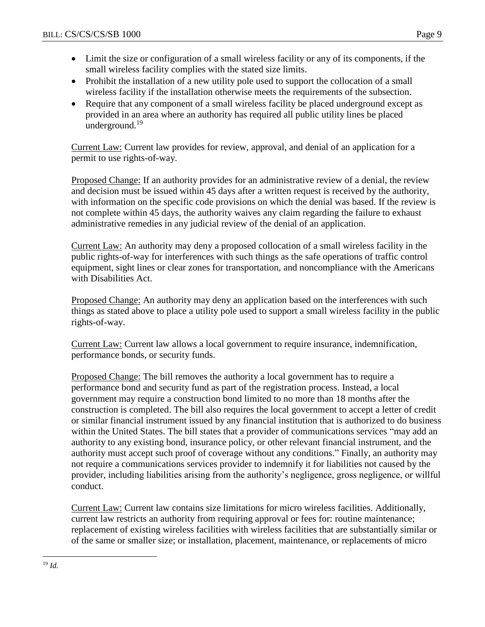- Limit the size or configuration of a small wireless facility or any of its components, if the small wireless facility complies with the stated size limits.
- Prohibit the installation of a new utility pole used to support the collocation of a small wireless facility if the installation otherwise meets the requirements of the subsection.
- Require that any component of a small wireless facility be placed underground except as provided in an area where an authority has required all public utility lines be placed underground.<sup>19</sup>

Current Law: Current law provides for review, approval, and denial of an application for a permit to use rights-of-way.

Proposed Change: If an authority provides for an administrative review of a denial, the review and decision must be issued within 45 days after a written request is received by the authority, with information on the specific code provisions on which the denial was based. If the review is not complete within 45 days, the authority waives any claim regarding the failure to exhaust administrative remedies in any judicial review of the denial of an application.

Current Law: An authority may deny a proposed collocation of a small wireless facility in the public rights-of-way for interferences with such things as the safe operations of traffic control equipment, sight lines or clear zones for transportation, and noncompliance with the Americans with Disabilities Act.

Proposed Change: An authority may deny an application based on the interferences with such things as stated above to place a utility pole used to support a small wireless facility in the public rights-of-way.

Current Law: Current law allows a local government to require insurance, indemnification, performance bonds, or security funds.

Proposed Change: The bill removes the authority a local government has to require a performance bond and security fund as part of the registration process. Instead, a local government may require a construction bond limited to no more than 18 months after the construction is completed. The bill also requires the local government to accept a letter of credit or similar financial instrument issued by any financial institution that is authorized to do business within the United States. The bill states that a provider of communications services "may add an authority to any existing bond, insurance policy, or other relevant financial instrument, and the authority must accept such proof of coverage without any conditions." Finally, an authority may not require a communications services provider to indemnify it for liabilities not caused by the provider, including liabilities arising from the authority's negligence, gross negligence, or willful conduct.

Current Law: Current law contains size limitations for micro wireless facilities. Additionally, current law restricts an authority from requiring approval or fees for: routine maintenance; replacement of existing wireless facilities with wireless facilities that are substantially similar or of the same or smaller size; or installation, placement, maintenance, or replacements of micro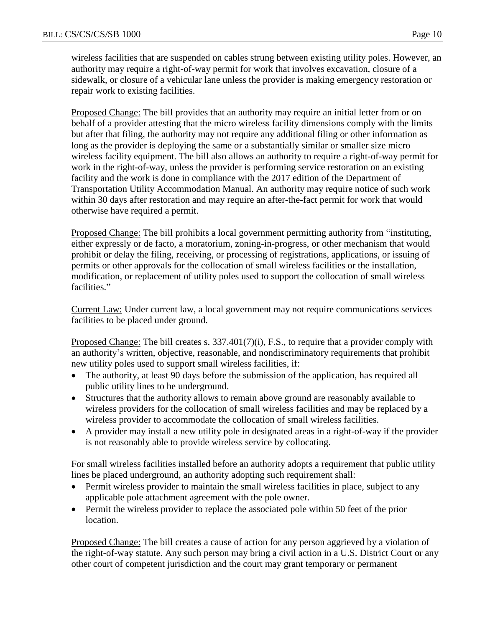wireless facilities that are suspended on cables strung between existing utility poles. However, an authority may require a right-of-way permit for work that involves excavation, closure of a sidewalk, or closure of a vehicular lane unless the provider is making emergency restoration or repair work to existing facilities.

Proposed Change: The bill provides that an authority may require an initial letter from or on behalf of a provider attesting that the micro wireless facility dimensions comply with the limits but after that filing, the authority may not require any additional filing or other information as long as the provider is deploying the same or a substantially similar or smaller size micro wireless facility equipment. The bill also allows an authority to require a right-of-way permit for work in the right-of-way, unless the provider is performing service restoration on an existing facility and the work is done in compliance with the 2017 edition of the Department of Transportation Utility Accommodation Manual. An authority may require notice of such work within 30 days after restoration and may require an after-the-fact permit for work that would otherwise have required a permit.

Proposed Change: The bill prohibits a local government permitting authority from "instituting, either expressly or de facto, a moratorium, zoning-in-progress, or other mechanism that would prohibit or delay the filing, receiving, or processing of registrations, applications, or issuing of permits or other approvals for the collocation of small wireless facilities or the installation, modification, or replacement of utility poles used to support the collocation of small wireless facilities."

Current Law: Under current law, a local government may not require communications services facilities to be placed under ground.

Proposed Change: The bill creates s. 337.401(7)(i), F.S., to require that a provider comply with an authority's written, objective, reasonable, and nondiscriminatory requirements that prohibit new utility poles used to support small wireless facilities, if:

- The authority, at least 90 days before the submission of the application, has required all public utility lines to be underground.
- Structures that the authority allows to remain above ground are reasonably available to wireless providers for the collocation of small wireless facilities and may be replaced by a wireless provider to accommodate the collocation of small wireless facilities.
- A provider may install a new utility pole in designated areas in a right-of-way if the provider is not reasonably able to provide wireless service by collocating.

For small wireless facilities installed before an authority adopts a requirement that public utility lines be placed underground, an authority adopting such requirement shall:

- Permit wireless provider to maintain the small wireless facilities in place, subject to any applicable pole attachment agreement with the pole owner.
- Permit the wireless provider to replace the associated pole within 50 feet of the prior location.

Proposed Change: The bill creates a cause of action for any person aggrieved by a violation of the right-of-way statute. Any such person may bring a civil action in a U.S. District Court or any other court of competent jurisdiction and the court may grant temporary or permanent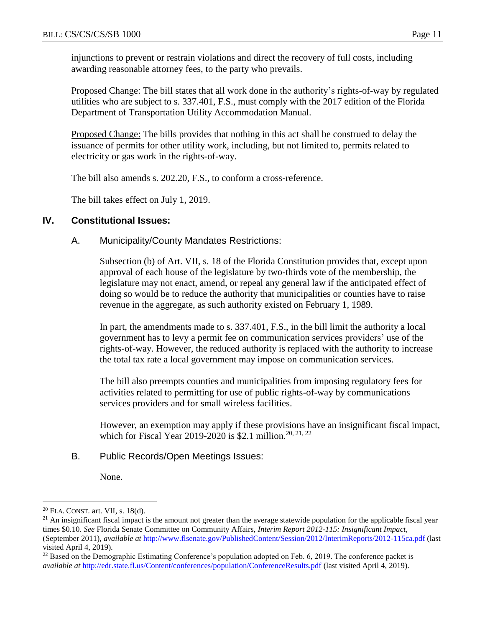injunctions to prevent or restrain violations and direct the recovery of full costs, including awarding reasonable attorney fees, to the party who prevails.

Proposed Change: The bill states that all work done in the authority's rights-of-way by regulated utilities who are subject to s. 337.401, F.S., must comply with the 2017 edition of the Florida Department of Transportation Utility Accommodation Manual.

Proposed Change: The bills provides that nothing in this act shall be construed to delay the issuance of permits for other utility work, including, but not limited to, permits related to electricity or gas work in the rights-of-way.

The bill also amends s. 202.20, F.S., to conform a cross-reference.

The bill takes effect on July 1, 2019.

## **IV. Constitutional Issues:**

### A. Municipality/County Mandates Restrictions:

Subsection (b) of Art. VII, s. 18 of the Florida Constitution provides that, except upon approval of each house of the legislature by two-thirds vote of the membership, the legislature may not enact, amend, or repeal any general law if the anticipated effect of doing so would be to reduce the authority that municipalities or counties have to raise revenue in the aggregate, as such authority existed on February 1, 1989.

In part, the amendments made to s. 337.401, F.S., in the bill limit the authority a local government has to levy a permit fee on communication services providers' use of the rights-of-way. However, the reduced authority is replaced with the authority to increase the total tax rate a local government may impose on communication services.

The bill also preempts counties and municipalities from imposing regulatory fees for activities related to permitting for use of public rights-of-way by communications services providers and for small wireless facilities.

However, an exemption may apply if these provisions have an insignificant fiscal impact, which for Fiscal Year 2019-2020 is \$2.1 million.<sup>20, 21, 22</sup>

## B. Public Records/Open Meetings Issues:

None.

 $\overline{a}$ 

<sup>20</sup> FLA. CONST. art. VII, s. 18(d).

 $^{21}$  An insignificant fiscal impact is the amount not greater than the average statewide population for the applicable fiscal year times \$0.10. *See* Florida Senate Committee on Community Affairs, *Interim Report 2012-115: Insignificant Impact*, (September 2011), *available at* <http://www.flsenate.gov/PublishedContent/Session/2012/InterimReports/2012-115ca.pdf> (last visited April 4, 2019).

 $22$  Based on the Demographic Estimating Conference's population adopted on Feb. 6, 2019. The conference packet is *available at* <http://edr.state.fl.us/Content/conferences/population/ConferenceResults.pdf> (last visited April 4, 2019).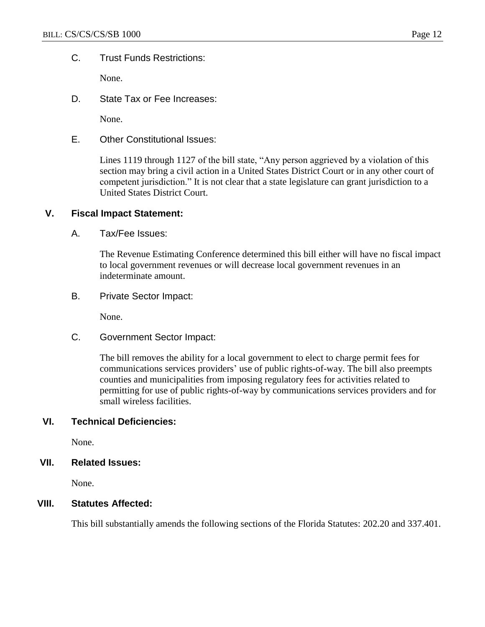## C. Trust Funds Restrictions:

None.

D. State Tax or Fee Increases:

None.

E. Other Constitutional Issues:

Lines 1119 through 1127 of the bill state, "Any person aggrieved by a violation of this section may bring a civil action in a United States District Court or in any other court of competent jurisdiction." It is not clear that a state legislature can grant jurisdiction to a United States District Court.

## **V. Fiscal Impact Statement:**

A. Tax/Fee Issues:

The Revenue Estimating Conference determined this bill either will have no fiscal impact to local government revenues or will decrease local government revenues in an indeterminate amount.

B. Private Sector Impact:

None.

C. Government Sector Impact:

The bill removes the ability for a local government to elect to charge permit fees for communications services providers' use of public rights-of-way. The bill also preempts counties and municipalities from imposing regulatory fees for activities related to permitting for use of public rights-of-way by communications services providers and for small wireless facilities.

## **VI. Technical Deficiencies:**

None.

### **VII. Related Issues:**

None.

### **VIII. Statutes Affected:**

This bill substantially amends the following sections of the Florida Statutes: 202.20 and 337.401.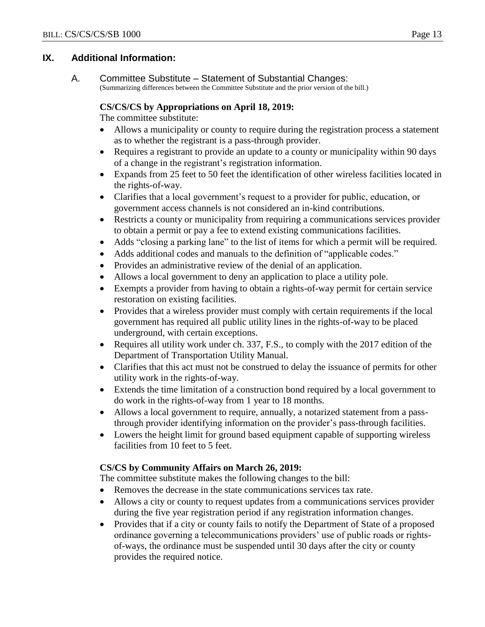## **IX. Additional Information:**

A. Committee Substitute – Statement of Substantial Changes:

(Summarizing differences between the Committee Substitute and the prior version of the bill.)

# **CS/CS/CS by Appropriations on April 18, 2019:**

The committee substitute:

- Allows a municipality or county to require during the registration process a statement as to whether the registrant is a pass-through provider.
- Requires a registrant to provide an update to a county or municipality within 90 days of a change in the registrant's registration information.
- Expands from 25 feet to 50 feet the identification of other wireless facilities located in the rights-of-way.
- Clarifies that a local government's request to a provider for public, education, or government access channels is not considered an in-kind contributions.
- Restricts a county or municipality from requiring a communications services provider to obtain a permit or pay a fee to extend existing communications facilities.
- Adds "closing a parking lane" to the list of items for which a permit will be required.
- Adds additional codes and manuals to the definition of "applicable codes."
- Provides an administrative review of the denial of an application.
- Allows a local government to deny an application to place a utility pole.
- Exempts a provider from having to obtain a rights-of-way permit for certain service restoration on existing facilities.
- Provides that a wireless provider must comply with certain requirements if the local government has required all public utility lines in the rights-of-way to be placed underground, with certain exceptions.
- Requires all utility work under ch. 337, F.S., to comply with the 2017 edition of the Department of Transportation Utility Manual.
- Clarifies that this act must not be construed to delay the issuance of permits for other utility work in the rights-of-way.
- Extends the time limitation of a construction bond required by a local government to do work in the rights-of-way from 1 year to 18 months.
- Allows a local government to require, annually, a notarized statement from a passthrough provider identifying information on the provider's pass-through facilities.
- Lowers the height limit for ground based equipment capable of supporting wireless facilities from 10 feet to 5 feet.

# **CS/CS by Community Affairs on March 26, 2019:**

The committee substitute makes the following changes to the bill:

- Removes the decrease in the state communications services tax rate.
- Allows a city or county to request updates from a communications services provider during the five year registration period if any registration information changes.
- Provides that if a city or county fails to notify the Department of State of a proposed ordinance governing a telecommunications providers' use of public roads or rightsof-ways, the ordinance must be suspended until 30 days after the city or county provides the required notice.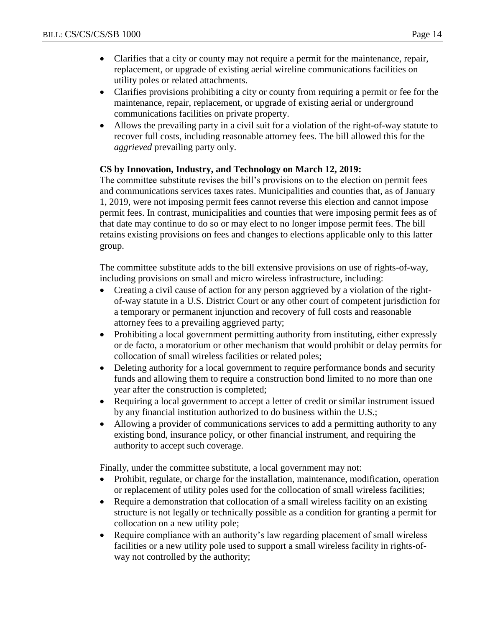- Clarifies that a city or county may not require a permit for the maintenance, repair, replacement, or upgrade of existing aerial wireline communications facilities on utility poles or related attachments.
- Clarifies provisions prohibiting a city or county from requiring a permit or fee for the maintenance, repair, replacement, or upgrade of existing aerial or underground communications facilities on private property.
- Allows the prevailing party in a civil suit for a violation of the right-of-way statute to recover full costs, including reasonable attorney fees. The bill allowed this for the *aggrieved* prevailing party only.

# **CS by Innovation, Industry, and Technology on March 12, 2019:**

The committee substitute revises the bill's provisions on to the election on permit fees and communications services taxes rates. Municipalities and counties that, as of January 1, 2019, were not imposing permit fees cannot reverse this election and cannot impose permit fees. In contrast, municipalities and counties that were imposing permit fees as of that date may continue to do so or may elect to no longer impose permit fees. The bill retains existing provisions on fees and changes to elections applicable only to this latter group.

The committee substitute adds to the bill extensive provisions on use of rights-of-way, including provisions on small and micro wireless infrastructure, including:

- Creating a civil cause of action for any person aggrieved by a violation of the rightof-way statute in a U.S. District Court or any other court of competent jurisdiction for a temporary or permanent injunction and recovery of full costs and reasonable attorney fees to a prevailing aggrieved party;
- Prohibiting a local government permitting authority from instituting, either expressly or de facto, a moratorium or other mechanism that would prohibit or delay permits for collocation of small wireless facilities or related poles;
- Deleting authority for a local government to require performance bonds and security funds and allowing them to require a construction bond limited to no more than one year after the construction is completed;
- Requiring a local government to accept a letter of credit or similar instrument issued by any financial institution authorized to do business within the U.S.;
- Allowing a provider of communications services to add a permitting authority to any existing bond, insurance policy, or other financial instrument, and requiring the authority to accept such coverage.

Finally, under the committee substitute, a local government may not:

- Prohibit, regulate, or charge for the installation, maintenance, modification, operation or replacement of utility poles used for the collocation of small wireless facilities;
- Require a demonstration that collocation of a small wireless facility on an existing structure is not legally or technically possible as a condition for granting a permit for collocation on a new utility pole;
- Require compliance with an authority's law regarding placement of small wireless facilities or a new utility pole used to support a small wireless facility in rights-ofway not controlled by the authority;